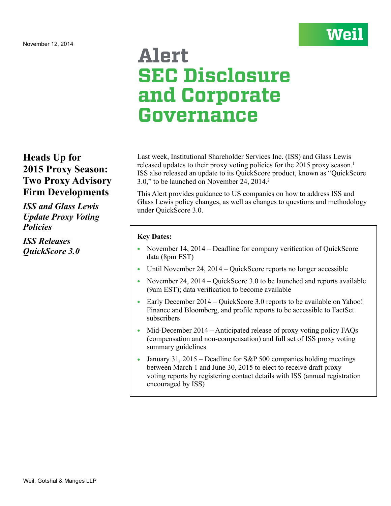

# **Alert SEC Disclosure and Corporate Governance**

## **Heads Up for 2015 Proxy Season: Two Proxy Advisory Firm Developments**

*ISS and Glass Lewis Update Proxy Voting Policies*

*ISS Releases QuickScore 3.0*

Last week, Institutional Shareholder Services Inc. (ISS) and Glass Lewis released updates to their proxy voting policies for the 2015 proxy season.<sup>1</sup> ISS also released an update to its QuickScore product, known as "QuickScore 3.0," to be launched on November 24, 2014.2

This Alert provides guidance to US companies on how to address ISS and Glass Lewis policy changes, as well as changes to questions and methodology under QuickScore 3.0.

## **Key Dates:**

- November  $14$ ,  $2014$  Deadline for company verification of QuickScore data (8pm EST)
- Until November 24, 2014 QuickScore reports no longer accessible
- November 24, 2014 QuickScore 3.0 to be launched and reports available (9am EST); data verification to become available
- Early December  $2014 \text{QuickScore } 3.0$  reports to be available on Yahoo! Finance and Bloomberg, and profile reports to be accessible to FactSet subscribers
- Mid-December  $2014$  Anticipated release of proxy voting policy FAQs (compensation and non-compensation) and full set of ISS proxy voting summary guidelines
- January 31, 2015 Deadline for S&P 500 companies holding meetings between March 1 and June 30, 2015 to elect to receive draft proxy voting reports by registering contact details with ISS (annual registration encouraged by ISS)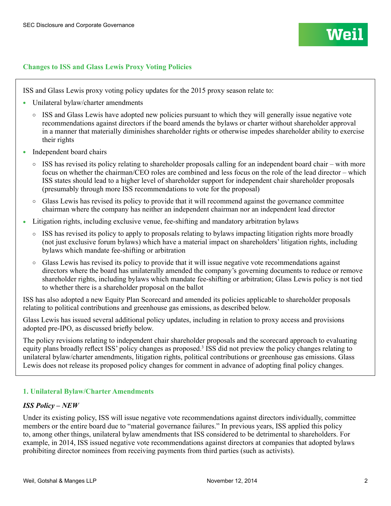

#### **Changes to ISS and Glass Lewis Proxy Voting Policies**

ISS and Glass Lewis proxy voting policy updates for the 2015 proxy season relate to:

- Unilateral bylaw/charter amendments
	- $\circ$  ISS and Glass Lewis have adopted new policies pursuant to which they will generally issue negative vote recommendations against directors if the board amends the bylaws or charter without shareholder approval in a manner that materially diminishes shareholder rights or otherwise impedes shareholder ability to exercise their rights
- Independent board chairs
	- $\circ$  ISS has revised its policy relating to shareholder proposals calling for an independent board chair with more focus on whether the chairman/CEO roles are combined and less focus on the role of the lead director – which ISS states should lead to a higher level of shareholder support for independent chair shareholder proposals (presumably through more ISS recommendations to vote for the proposal)
	- $\circ$  Glass Lewis has revised its policy to provide that it will recommend against the governance committee chairman where the company has neither an independent chairman nor an independent lead director
- Litigation rights, including exclusive venue, fee-shifting and mandatory arbitration bylaws
	- $\circ$  ISS has revised its policy to apply to proposals relating to bylaws impacting litigation rights more broadly (not just exclusive forum bylaws) which have a material impact on shareholders' litigation rights, including bylaws which mandate fee-shifting or arbitration
	- $\circ$  Glass Lewis has revised its policy to provide that it will issue negative vote recommendations against directors where the board has unilaterally amended the company's governing documents to reduce or remove shareholder rights, including bylaws which mandate fee-shifting or arbitration; Glass Lewis policy is not tied to whether there is a shareholder proposal on the ballot

ISS has also adopted a new Equity Plan Scorecard and amended its policies applicable to shareholder proposals relating to political contributions and greenhouse gas emissions, as described below.

Glass Lewis has issued several additional policy updates, including in relation to proxy access and provisions adopted pre-IPO, as discussed briefly below.

The policy revisions relating to independent chair shareholder proposals and the scorecard approach to evaluating equity plans broadly reflect ISS' policy changes as proposed.<sup>3</sup> ISS did not preview the policy changes relating to unilateral bylaw/charter amendments, litigation rights, political contributions or greenhouse gas emissions. Glass Lewis does not release its proposed policy changes for comment in advance of adopting final policy changes.

#### **1. Unilateral Bylaw/Charter Amendments**

#### *ISS Policy – NEW*

Under its existing policy, ISS will issue negative vote recommendations against directors individually, committee members or the entire board due to "material governance failures." In previous years, ISS applied this policy to, among other things, unilateral bylaw amendments that ISS considered to be detrimental to shareholders. For example, in 2014, ISS issued negative vote recommendations against directors at companies that adopted bylaws prohibiting director nominees from receiving payments from third parties (such as activists).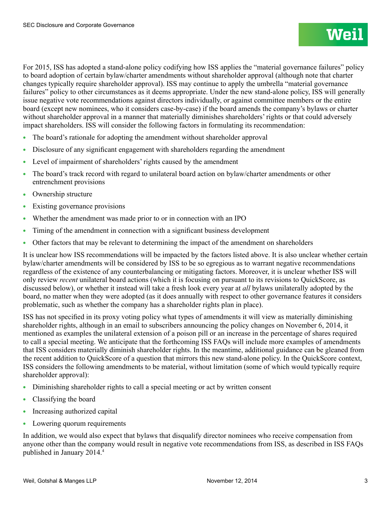For 2015, ISS has adopted a stand-alone policy codifying how ISS applies the "material governance failures" policy to board adoption of certain bylaw/charter amendments without shareholder approval (although note that charter changes typically require shareholder approval). ISS may continue to apply the umbrella "material governance failures" policy to other circumstances as it deems appropriate. Under the new stand-alone policy, ISS will generally issue negative vote recommendations against directors individually, or against committee members or the entire board (except new nominees, who it considers case-by-case) if the board amends the company's bylaws or charter without shareholder approval in a manner that materially diminishes shareholders' rights or that could adversely impact shareholders. ISS will consider the following factors in formulating its recommendation:

- The board's rationale for adopting the amendment without shareholder approval
- Disclosure of any significant engagement with shareholders regarding the amendment
- Level of impairment of shareholders' rights caused by the amendment
- <sup>l</sup> The board's track record with regard to unilateral board action on bylaw/charter amendments or other entrenchment provisions
- **Ownership structure**
- Existing governance provisions
- <sup>l</sup> Whether the amendment was made prior to or in connection with an IPO
- <sup>l</sup> Timing of the amendment in connection with a significant business development
- Other factors that may be relevant to determining the impact of the amendment on shareholders

It is unclear how ISS recommendations will be impacted by the factors listed above. It is also unclear whether certain bylaw/charter amendments will be considered by ISS to be so egregious as to warrant negative recommendations regardless of the existence of any counterbalancing or mitigating factors. Moreover, it is unclear whether ISS will only review *recent* unilateral board actions (which it is focusing on pursuant to its revisions to QuickScore, as discussed below), or whether it instead will take a fresh look every year at *all* bylaws unilaterally adopted by the board, no matter when they were adopted (as it does annually with respect to other governance features it considers problematic, such as whether the company has a shareholder rights plan in place).

ISS has not specified in its proxy voting policy what types of amendments it will view as materially diminishing shareholder rights, although in an email to subscribers announcing the policy changes on November 6, 2014, it mentioned as examples the unilateral extension of a poison pill or an increase in the percentage of shares required to call a special meeting. We anticipate that the forthcoming ISS FAQs will include more examples of amendments that ISS considers materially diminish shareholder rights. In the meantime, additional guidance can be gleaned from the recent addition to QuickScore of a question that mirrors this new stand-alone policy. In the QuickScore context, ISS considers the following amendments to be material, without limitation (some of which would typically require shareholder approval):

- Diminishing shareholder rights to call a special meeting or act by written consent
- Classifying the board
- Increasing authorized capital
- Lowering quorum requirements

In addition, we would also expect that bylaws that disqualify director nominees who receive compensation from anyone other than the company would result in negative vote recommendations from ISS, as described in ISS FAQs published in January 2014.4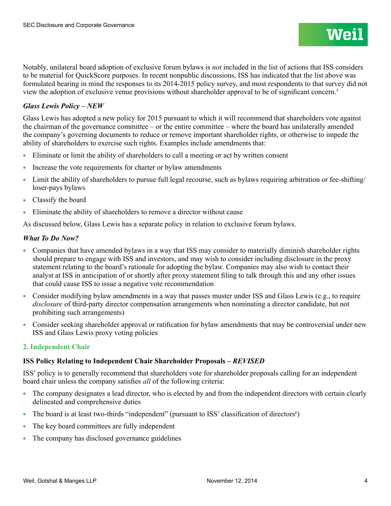## *Glass Lewis Policy – NEW*

Glass Lewis has adopted a new policy for 2015 pursuant to which it will recommend that shareholders vote against the chairman of the governance committee – or the entire committee – where the board has unilaterally amended the company's governing documents to reduce or remove important shareholder rights, or otherwise to impede the ability of shareholders to exercise such rights. Examples include amendments that:

- Eliminate or limit the ability of shareholders to call a meeting or act by written consent
- Increase the vote requirements for charter or bylaw amendments
- I Limit the ability of shareholders to pursue full legal recourse, such as bylaws requiring arbitration or fee-shifting/ loser-pays bylaws
- Classify the board
- <sup>l</sup> Eliminate the ability of shareholders to remove a director without cause

As discussed below, Glass Lewis has a separate policy in relation to exclusive forum bylaws.

## *What To Do Now?*

- <sup>l</sup> Companies that have amended bylaws in a way that ISS may consider to materially diminish shareholder rights should prepare to engage with ISS and investors, and may wish to consider including disclosure in the proxy statement relating to the board's rationale for adopting the bylaw. Companies may also wish to contact their analyst at ISS in anticipation of or shortly after proxy statement filing to talk through this and any other issues that could cause ISS to issue a negative vote recommendation
- Consider modifying bylaw amendments in a way that passes muster under ISS and Glass Lewis (e.g., to require *disclosure* of third-party director compensation arrangements when nominating a director candidate, but not prohibiting such arrangements)
- Consider seeking shareholder approval or ratification for bylaw amendments that may be controversial under new ISS and Glass Lewis proxy voting policies

## **2. Independent Chair**

## **ISS Policy Relating to Independent Chair Shareholder Proposals –** *REVISED*

ISS' policy is to generally recommend that shareholders vote for shareholder proposals calling for an independent board chair unless the company satisfies *all* of the following criteria:

- The company designates a lead director, who is elected by and from the independent directors with certain clearly delineated and comprehensive duties
- The board is at least two-thirds "independent" (pursuant to ISS' classification of directors $\epsilon$ )
- The key board committees are fully independent
- The company has disclosed governance guidelines

**Weil**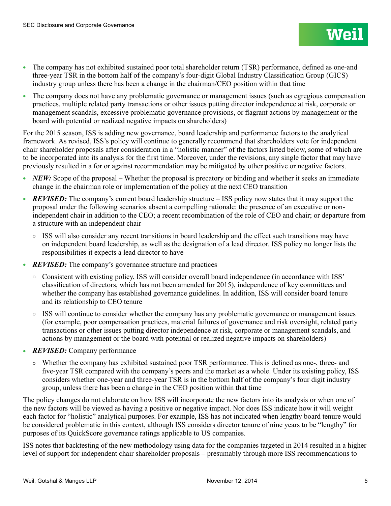- <sup>l</sup> The company has not exhibited sustained poor total shareholder return (TSR) performance, defined as one-and three-year TSR in the bottom half of the company's four-digit Global Industry Classification Group (GICS) industry group unless there has been a change in the chairman/CEO position within that time
- The company does not have any problematic governance or management issues (such as egregious compensation practices, multiple related party transactions or other issues putting director independence at risk, corporate or management scandals, excessive problematic governance provisions, or flagrant actions by management or the board with potential or realized negative impacts on shareholders)

For the 2015 season, ISS is adding new governance, board leadership and performance factors to the analytical framework. As revised, ISS's policy will continue to generally recommend that shareholders vote for independent chair shareholder proposals after consideration in a "holistic manner" of the factors listed below, some of which are to be incorporated into its analysis for the first time. Moreover, under the revisions, any single factor that may have previously resulted in a for or against recommendation may be mitigated by other positive or negative factors.

- *NEW:* Scope of the proposal Whether the proposal is precatory or binding and whether it seeks an immediate change in the chairman role or implementation of the policy at the next CEO transition
- *REVISED:* The company's current board leadership structure ISS policy now states that it may support the proposal under the following scenarios absent a compelling rationale: the presence of an executive or nonindependent chair in addition to the CEO; a recent recombination of the role of CEO and chair; or departure from a structure with an independent chair
	- $\circ$  ISS will also consider any recent transitions in board leadership and the effect such transitions may have on independent board leadership, as well as the designation of a lead director. ISS policy no longer lists the responsibilities it expects a lead director to have
- **REVISED:** The company's governance structure and practices
	- Consistent with existing policy, ISS will consider overall board independence (in accordance with ISS' classification of directors, which has not been amended for 2015), independence of key committees and whether the company has established governance guidelines. In addition, ISS will consider board tenure and its relationship to CEO tenure
	- ISS will continue to consider whether the company has any problematic governance or management issues (for example, poor compensation practices, material failures of governance and risk oversight, related party transactions or other issues putting director independence at risk, corporate or management scandals, and actions by management or the board with potential or realized negative impacts on shareholders)
- REVISED: Company performance
	- ¡ Whether the company has exhibited sustained poor TSR performance. This is defined as one-, three- and five-year TSR compared with the company's peers and the market as a whole. Under its existing policy, ISS considers whether one-year and three-year TSR is in the bottom half of the company's four digit industry group, unless there has been a change in the CEO position within that time

The policy changes do not elaborate on how ISS will incorporate the new factors into its analysis or when one of the new factors will be viewed as having a positive or negative impact. Nor does ISS indicate how it will weight each factor for "holistic" analytical purposes. For example, ISS has not indicated when lengthy board tenure would be considered problematic in this context, although ISS considers director tenure of nine years to be "lengthy" for purposes of its QuickScore governance ratings applicable to US companies.

ISS notes that backtesting of the new methodology using data for the companies targeted in 2014 resulted in a higher level of support for independent chair shareholder proposals – presumably through more ISS recommendations to

**Weil**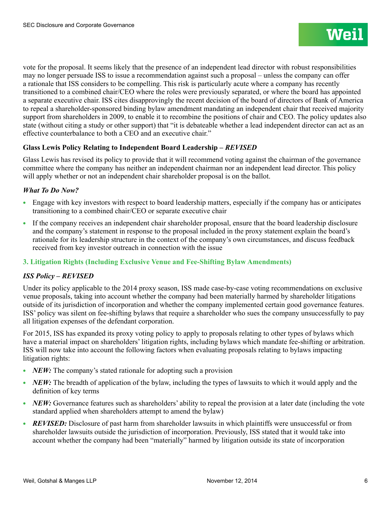vote for the proposal. It seems likely that the presence of an independent lead director with robust responsibilities may no longer persuade ISS to issue a recommendation against such a proposal – unless the company can offer a rationale that ISS considers to be compelling. This risk is particularly acute where a company has recently transitioned to a combined chair/CEO where the roles were previously separated, or where the board has appointed a separate executive chair. ISS cites disapprovingly the recent decision of the board of directors of Bank of America to repeal a shareholder-sponsored binding bylaw amendment mandating an independent chair that received majority support from shareholders in 2009, to enable it to recombine the positions of chair and CEO. The policy updates also state (without citing a study or other support) that "it is debateable whether a lead independent director can act as an effective counterbalance to both a CEO and an executive chair."

## Glass Lewis Policy Relating to Independent Board Leadership - *REVISED*

Glass Lewis has revised its policy to provide that it will recommend voting against the chairman of the governance committee where the company has neither an independent chairman nor an independent lead director. This policy will apply whether or not an independent chair shareholder proposal is on the ballot.

## *What To Do Now?*

- <sup>l</sup> Engage with key investors with respect to board leadership matters, especially if the company has or anticipates transitioning to a combined chair/CEO or separate executive chair
- If the company receives an independent chair shareholder proposal, ensure that the board leadership disclosure and the company's statement in response to the proposal included in the proxy statement explain the board's rationale for its leadership structure in the context of the company's own circumstances, and discuss feedback received from key investor outreach in connection with the issue

## **3. Litigation Rights (Including Exclusive Venue and Fee-Shifting Bylaw Amendments)**

## *ISS Policy – REVISED*

Under its policy applicable to the 2014 proxy season, ISS made case-by-case voting recommendations on exclusive venue proposals, taking into account whether the company had been materially harmed by shareholder litigations outside of its jurisdiction of incorporation and whether the company implemented certain good governance features. ISS' policy was silent on fee-shifting bylaws that require a shareholder who sues the company unsuccessfully to pay all litigation expenses of the defendant corporation.

For 2015, ISS has expanded its proxy voting policy to apply to proposals relating to other types of bylaws which have a material impact on shareholders' litigation rights, including bylaws which mandate fee-shifting or arbitration. ISS will now take into account the following factors when evaluating proposals relating to bylaws impacting litigation rights:

- *NEW*: The company's stated rationale for adopting such a provision
- *NEW*: The breadth of application of the bylaw, including the types of lawsuits to which it would apply and the definition of key terms
- *NEW:* Governance features such as shareholders' ability to repeal the provision at a later date (including the vote standard applied when shareholders attempt to amend the bylaw)
- *REVISED:* Disclosure of past harm from shareholder lawsuits in which plaintiffs were unsuccessful or from shareholder lawsuits outside the jurisdiction of incorporation. Previously, ISS stated that it would take into account whether the company had been "materially" harmed by litigation outside its state of incorporation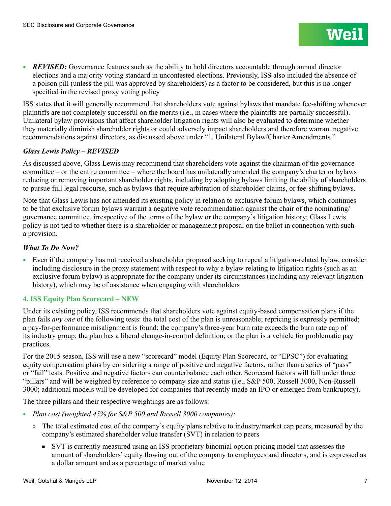**REVISED:** Governance features such as the ability to hold directors accountable through annual director elections and a majority voting standard in uncontested elections. Previously, ISS also included the absence of a poison pill (unless the pill was approved by shareholders) as a factor to be considered, but this is no longer specified in the revised proxy voting policy

ISS states that it will generally recommend that shareholders vote against bylaws that mandate fee-shifting whenever plaintiffs are not completely successful on the merits (i.e., in cases where the plaintiffs are partially successful). Unilateral bylaw provisions that affect shareholder litigation rights will also be evaluated to determine whether they materially diminish shareholder rights or could adversely impact shareholders and therefore warrant negative recommendations against directors, as discussed above under "1. Unilateral Bylaw/Charter Amendments."

## *Glass Lewis Policy – REVISED*

As discussed above, Glass Lewis may recommend that shareholders vote against the chairman of the governance committee – or the entire committee – where the board has unilaterally amended the company's charter or bylaws reducing or removing important shareholder rights, including by adopting bylaws limiting the ability of shareholders to pursue full legal recourse, such as bylaws that require arbitration of shareholder claims, or fee-shifting bylaws.

Note that Glass Lewis has not amended its existing policy in relation to exclusive forum bylaws, which continues to be that exclusive forum bylaws warrant a negative vote recommendation against the chair of the nominating/ governance committee, irrespective of the terms of the bylaw or the company's litigation history; Glass Lewis policy is not tied to whether there is a shareholder or management proposal on the ballot in connection with such a provision.

## *What To Do Now?*

<sup>l</sup> Even if the company has not received a shareholder proposal seeking to repeal a litigation-related bylaw, consider including disclosure in the proxy statement with respect to why a bylaw relating to litigation rights (such as an exclusive forum bylaw) is appropriate for the company under its circumstances (including any relevant litigation history), which may be of assistance when engaging with shareholders

## **4. ISS Equity Plan Scorecard – NEW**

Under its existing policy, ISS recommends that shareholders vote against equity-based compensation plans if the plan fails *any one* of the following tests: the total cost of the plan is unreasonable; repricing is expressly permitted; a pay-for-performance misalignment is found; the company's three-year burn rate exceeds the burn rate cap of its industry group; the plan has a liberal change-in-control definition; or the plan is a vehicle for problematic pay practices.

For the 2015 season, ISS will use a new "scorecard" model (Equity Plan Scorecard, or "EPSC") for evaluating equity compensation plans by considering a range of positive and negative factors, rather than a series of "pass" or "fail" tests. Positive and negative factors can counterbalance each other. Scorecard factors will fall under three "pillars" and will be weighted by reference to company size and status (i.e., S&P 500, Russell 3000, Non-Russell 3000; additional models will be developed for companies that recently made an IPO or emerged from bankruptcy).

The three pillars and their respective weightings are as follows:

- Plan cost (weighted 45% for S&P 500 and Russell 3000 companies):
	- The total estimated cost of the company's equity plans relative to industry/market cap peers, measured by the company's estimated shareholder value transfer (SVT) in relation to peers
		- SVT is currently measured using an ISS proprietary binomial option pricing model that assesses the amount of shareholders' equity flowing out of the company to employees and directors, and is expressed as a dollar amount and as a percentage of market value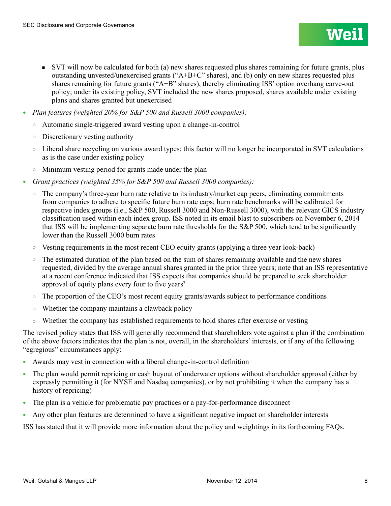- SVT will now be calculated for both (a) new shares requested plus shares remaining for future grants, plus outstanding unvested/unexercised grants (" $A+B+C$ " shares), and (b) only on new shares requested plus shares remaining for future grants ("A+B" shares), thereby eliminating ISS' option overhang carve-out policy; under its existing policy, SVT included the new shares proposed, shares available under existing plans and shares granted but unexercised
- <sup>l</sup> *Plan features (weighted 20% for S&P 500 and Russell 3000 companies):*
	- ¡ Automatic single-triggered award vesting upon a change-in-control
	- $\circ$  Discretionary vesting authority
	- Liberal share recycling on various award types; this factor will no longer be incorporated in SVT calculations as is the case under existing policy
	- $\circ$  Minimum vesting period for grants made under the plan
- <sup>l</sup> *Grant practices (weighted 35% for S&P 500 and Russell 3000 companies):*
	- $\circ$  The company's three-year burn rate relative to its industry/market cap peers, eliminating commitments from companies to adhere to specific future burn rate caps; burn rate benchmarks will be calibrated for respective index groups (i.e., S&P 500, Russell 3000 and Non-Russell 3000), with the relevant GICS industry classification used within each index group. ISS noted in its email blast to subscribers on November 6, 2014 that ISS will be implementing separate burn rate thresholds for the S&P 500, which tend to be significantly lower than the Russell 3000 burn rates
	- $\circ$  Vesting requirements in the most recent CEO equity grants (applying a three year look-back)
	- $\circ$  The estimated duration of the plan based on the sum of shares remaining available and the new shares requested, divided by the average annual shares granted in the prior three years; note that an ISS representative at a recent conference indicated that ISS expects that companies should be prepared to seek shareholder approval of equity plans every four to five years<sup>7</sup>
	- $\circ$  The proportion of the CEO's most recent equity grants/awards subject to performance conditions
	- $\circ$  Whether the company maintains a clawback policy
	- Whether the company has established requirements to hold shares after exercise or vesting

The revised policy states that ISS will generally recommend that shareholders vote against a plan if the combination of the above factors indicates that the plan is not, overall, in the shareholders' interests, or if any of the following "egregious" circumstances apply:

- Awards may vest in connection with a liberal change-in-control definition
- <sup>l</sup> The plan would permit repricing or cash buyout of underwater options without shareholder approval (either by expressly permitting it (for NYSE and Nasdaq companies), or by not prohibiting it when the company has a history of repricing)
- <sup>l</sup> The plan is a vehicle for problematic pay practices or a pay-for-performance disconnect
- <sup>l</sup> Any other plan features are determined to have a significant negative impact on shareholder interests

ISS has stated that it will provide more information about the policy and weightings in its forthcoming FAQs.

Wei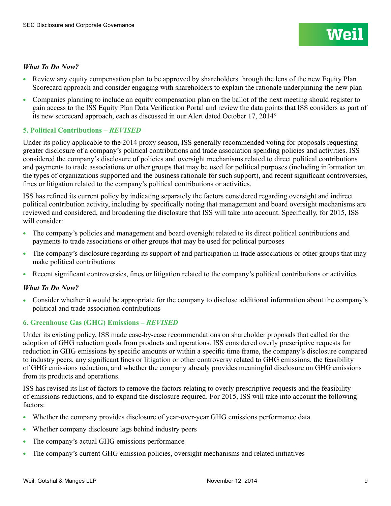## *What To Do Now?*

- Eview any equity compensation plan to be approved by shareholders through the lens of the new Equity Plan Scorecard approach and consider engaging with shareholders to explain the rationale underpinning the new plan
- Companies planning to include an equity compensation plan on the ballot of the next meeting should register to gain access to the ISS Equity Plan Data Verification Portal and review the data points that ISS considers as part of its new scorecard approach, each as discussed in our Alert dated October 17, 20148

## **5. Political Contributions –** *REVISED*

Under its policy applicable to the 2014 proxy season, ISS generally recommended voting for proposals requesting greater disclosure of a company's political contributions and trade association spending policies and activities. ISS considered the company's disclosure of policies and oversight mechanisms related to direct political contributions and payments to trade associations or other groups that may be used for political purposes (including information on the types of organizations supported and the business rationale for such support), and recent significant controversies, fines or litigation related to the company's political contributions or activities.

ISS has refined its current policy by indicating separately the factors considered regarding oversight and indirect political contribution activity, including by specifically noting that management and board oversight mechanisms are reviewed and considered, and broadening the disclosure that ISS will take into account. Specifically, for 2015, ISS will consider:

- The company's policies and management and board oversight related to its direct political contributions and payments to trade associations or other groups that may be used for political purposes
- The company's disclosure regarding its support of and participation in trade associations or other groups that may make political contributions
- Recent significant controversies, fines or litigation related to the company's political contributions or activities

## *What To Do Now?*

• Consider whether it would be appropriate for the company to disclose additional information about the company's political and trade association contributions

## **6. Greenhouse Gas (GHG) Emissions –** *REVISED*

Under its existing policy, ISS made case-by-case recommendations on shareholder proposals that called for the adoption of GHG reduction goals from products and operations. ISS considered overly prescriptive requests for reduction in GHG emissions by specific amounts or within a specific time frame, the company's disclosure compared to industry peers, any significant fines or litigation or other controversy related to GHG emissions, the feasibility of GHG emissions reduction, and whether the company already provides meaningful disclosure on GHG emissions from its products and operations.

ISS has revised its list of factors to remove the factors relating to overly prescriptive requests and the feasibility of emissions reductions, and to expand the disclosure required. For 2015, ISS will take into account the following factors:

- Whether the company provides disclosure of year-over-year GHG emissions performance data
- Whether company disclosure lags behind industry peers
- The company's actual GHG emissions performance
- The company's current GHG emission policies, oversight mechanisms and related initiatives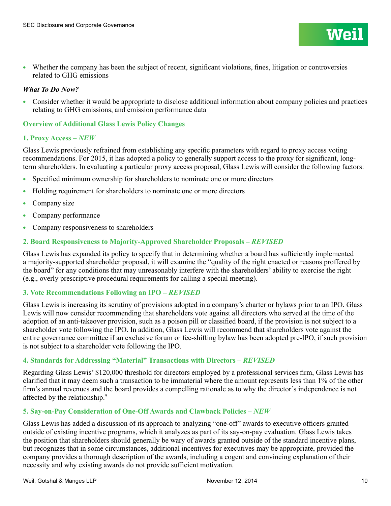<sup>l</sup> Whether the company has been the subject of recent, significant violations, fines, litigation or controversies related to GHG emissions

#### *What To Do Now?*

<sup>l</sup> Consider whether it would be appropriate to disclose additional information about company policies and practices relating to GHG emissions, and emission performance data

#### **Overview of Additional Glass Lewis Policy Changes**

#### **1. Proxy Access –** *NEW*

Glass Lewis previously refrained from establishing any specific parameters with regard to proxy access voting recommendations. For 2015, it has adopted a policy to generally support access to the proxy for significant, longterm shareholders. In evaluating a particular proxy access proposal, Glass Lewis will consider the following factors:

- Specified minimum ownership for shareholders to nominate one or more directors
- <sup>l</sup> Holding requirement for shareholders to nominate one or more directors
- $\bullet$  Company size
- Company performance
- Company responsiveness to shareholders

## **2. Board Responsiveness to Majority-Approved Shareholder Proposals –** *REVISED*

Glass Lewis has expanded its policy to specify that in determining whether a board has sufficiently implemented a majority-supported shareholder proposal, it will examine the "quality of the right enacted or reasons proffered by the board" for any conditions that may unreasonably interfere with the shareholders' ability to exercise the right (e.g., overly prescriptive procedural requirements for calling a special meeting).

#### **3. Vote Recommendations Following an IPO –** *REVISED*

Glass Lewis is increasing its scrutiny of provisions adopted in a company's charter or bylaws prior to an IPO. Glass Lewis will now consider recommending that shareholders vote against all directors who served at the time of the adoption of an anti-takeover provision, such as a poison pill or classified board, if the provision is not subject to a shareholder vote following the IPO. In addition, Glass Lewis will recommend that shareholders vote against the entire governance committee if an exclusive forum or fee-shifting bylaw has been adopted pre-IPO, if such provision is not subject to a shareholder vote following the IPO.

#### **4. Standards for Addressing "Material" Transactions with Directors –** *REVISED*

Regarding Glass Lewis' \$120,000 threshold for directors employed by a professional services firm, Glass Lewis has clarified that it may deem such a transaction to be immaterial where the amount represents less than 1% of the other firm's annual revenues and the board provides a compelling rationale as to why the director's independence is not affected by the relationship.9

#### **5. Say-on-Pay Consideration of One-Off Awards and Clawback Policies –** *NEW*

Glass Lewis has added a discussion of its approach to analyzing "one-off" awards to executive officers granted outside of existing incentive programs, which it analyzes as part of its say-on-pay evaluation. Glass Lewis takes the position that shareholders should generally be wary of awards granted outside of the standard incentive plans, but recognizes that in some circumstances, additional incentives for executives may be appropriate, provided the company provides a thorough description of the awards, including a cogent and convincing explanation of their necessity and why existing awards do not provide sufficient motivation.

**Wei**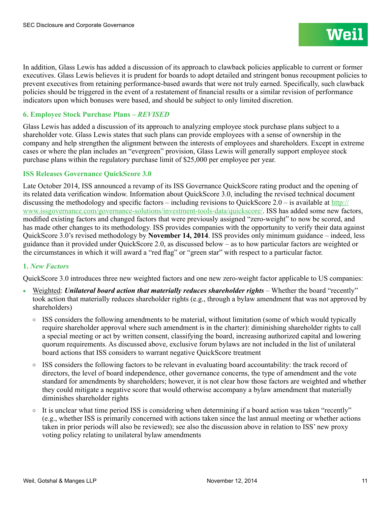In addition, Glass Lewis has added a discussion of its approach to clawback policies applicable to current or former executives. Glass Lewis believes it is prudent for boards to adopt detailed and stringent bonus recoupment policies to prevent executives from retaining performance-based awards that were not truly earned. Specifically, such clawback policies should be triggered in the event of a restatement of financial results or a similar revision of performance indicators upon which bonuses were based, and should be subject to only limited discretion.

## **6. Employee Stock Purchase Plans –** *REVISED*

Glass Lewis has added a discussion of its approach to analyzing employee stock purchase plans subject to a shareholder vote. Glass Lewis states that such plans can provide employees with a sense of ownership in the company and help strengthen the alignment between the interests of employees and shareholders. Except in extreme cases or where the plan includes an "evergreen" provision, Glass Lewis will generally support employee stock purchase plans within the regulatory purchase limit of \$25,000 per employee per year.

## **ISS Releases Governance QuickScore 3.0**

Late October 2014, ISS announced a revamp of its ISS Governance QuickScore rating product and the opening of its related data verification window. Information about QuickScore 3.0, including the revised technical document discussing the methodology and specific factors – including revisions to QuickScore  $2.0 -$  is available at [http://](http://www.issgovernance.com/governance-solutions/investment-tools-data/quickscore/) [www.issgovernance.com/governance-solutions/investment-tools-data/quickscore/](http://www.issgovernance.com/governance-solutions/investment-tools-data/quickscore/). ISS has added some new factors, modified existing factors and changed factors that were previously assigned "zero-weight" to now be scored, and has made other changes to its methodology. ISS provides companies with the opportunity to verify their data against QuickScore 3.0's revised methodology by **November 14, 2014**. ISS provides only minimum guidance – indeed, less guidance than it provided under QuickScore 2.0, as discussed below – as to how particular factors are weighted or the circumstances in which it will award a "red flag" or "green star" with respect to a particular factor.

## **1.** *New Factors*

QuickScore 3.0 introduces three new weighted factors and one new zero-weight factor applicable to US companies:

- Weighted: *Unilateral board action that materially reduces shareholder rights* Whether the board "recently" took action that materially reduces shareholder rights (e.g., through a bylaw amendment that was not approved by shareholders)
	- $\circ$  ISS considers the following amendments to be material, without limitation (some of which would typically require shareholder approval where such amendment is in the charter): diminishing shareholder rights to call a special meeting or act by written consent, classifying the board, increasing authorized capital and lowering quorum requirements. As discussed above, exclusive forum bylaws are not included in the list of unilateral board actions that ISS considers to warrant negative QuickScore treatment
	- ISS considers the following factors to be relevant in evaluating board accountability: the track record of directors, the level of board independence, other governance concerns, the type of amendment and the vote standard for amendments by shareholders; however, it is not clear how those factors are weighted and whether they could mitigate a negative score that would otherwise accompany a bylaw amendment that materially diminishes shareholder rights
	- $\circ$  It is unclear what time period ISS is considering when determining if a board action was taken "recently" (e.g., whether ISS is primarily concerned with actions taken since the last annual meeting or whether actions taken in prior periods will also be reviewed); see also the discussion above in relation to ISS' new proxy voting policy relating to unilateral bylaw amendments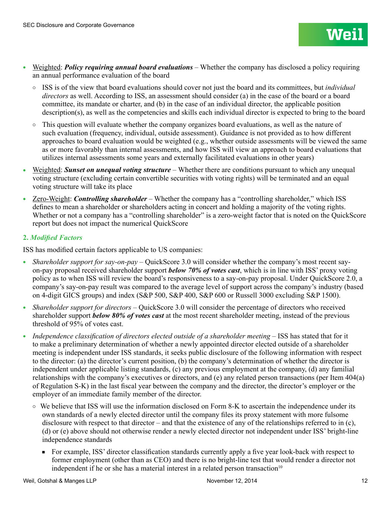- <sup>l</sup> Weighted: *Policy requiring annual board evaluations* Whether the company has disclosed a policy requiring an annual performance evaluation of the board
	- ¡ ISS is of the view that board evaluations should cover not just the board and its committees, but *individual directors* as well. According to ISS, an assessment should consider (a) in the case of the board or a board committee, its mandate or charter, and (b) in the case of an individual director, the applicable position description(s), as well as the competencies and skills each individual director is expected to bring to the board
	- $\circ$  This question will evaluate whether the company organizes board evaluations, as well as the nature of such evaluation (frequency, individual, outside assessment). Guidance is not provided as to how different approaches to board evaluation would be weighted (e.g., whether outside assessments will be viewed the same as or more favorably than internal assessments, and how ISS will view an approach to board evaluations that utilizes internal assessments some years and externally facilitated evaluations in other years)
- <sup>l</sup> Weighted: *Sunset on unequal voting structure* Whether there are conditions pursuant to which any unequal voting structure (excluding certain convertible securities with voting rights) will be terminated and an equal voting structure will take its place
- Zero-Weight: *Controlling shareholder* Whether the company has a "controlling shareholder," which ISS defines to mean a shareholder or shareholders acting in concert and holding a majority of the voting rights. Whether or not a company has a "controlling shareholder" is a zero-weight factor that is noted on the QuickScore report but does not impact the numerical QuickScore

## **2.** *Modified Factors*

ISS has modified certain factors applicable to US companies:

- <sup>l</sup> *Shareholder support for say-on-pay* QuickScore 3.0 will consider whether the company's most recent sayon-pay proposal received shareholder support *below 70% of votes cast*, which is in line with ISS' proxy voting policy as to when ISS will review the board's responsiveness to a say-on-pay proposal. Under QuickScore 2.0, a company's say-on-pay result was compared to the average level of support across the company's industry (based on 4-digit GICS groups) and index (S&P 500, S&P 400, S&P 600 or Russell 3000 excluding S&P 1500).
- *Shareholder support for directors* QuickScore 3.0 will consider the percentage of directors who received shareholder support *below 80% of votes cast* at the most recent shareholder meeting, instead of the previous threshold of 95% of votes cast.
- *Independence classification of directors elected outside of a shareholder meeting* ISS has stated that for it to make a preliminary determination of whether a newly appointed director elected outside of a shareholder meeting is independent under ISS standards, it seeks public disclosure of the following information with respect to the director: (a) the director's current position, (b) the company's determination of whether the director is independent under applicable listing standards, (c) any previous employment at the company, (d) any familial relationships with the company's executives or directors, and (e) any related person transactions (per Item 404(a) of Regulation S-K) in the last fiscal year between the company and the director, the director's employer or the employer of an immediate family member of the director.
	- $\circ$  We believe that ISS will use the information disclosed on Form 8-K to ascertain the independence under its own standards of a newly elected director until the company files its proxy statement with more fulsome disclosure with respect to that director – and that the existence of any of the relationships referred to in (c), (d) or (e) above should not otherwise render a newly elected director not independent under ISS' bright-line independence standards
		- For example, ISS' director classification standards currently apply a five year look-back with respect to former employment (other than as CEO) and there is no bright-line test that would render a director not independent if he or she has a material interest in a related person transaction $10$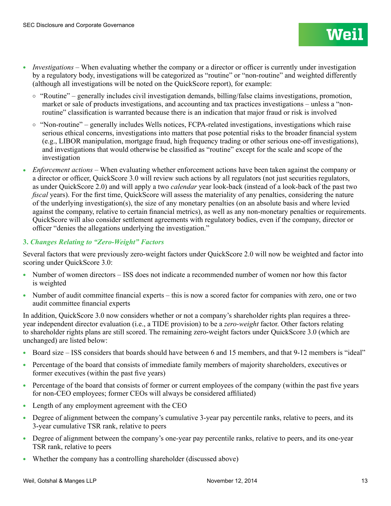- *Investigations* When evaluating whether the company or a director or officer is currently under investigation by a regulatory body, investigations will be categorized as "routine" or "non-routine" and weighted differently (although all investigations will be noted on the QuickScore report), for example:
	- $\circ$  "Routine" generally includes civil investigation demands, billing/false claims investigations, promotion, market or sale of products investigations, and accounting and tax practices investigations – unless a "nonroutine" classification is warranted because there is an indication that major fraud or risk is involved
	- $\circ$  "Non-routine" generally includes Wells notices, FCPA-related investigations, investigations which raise serious ethical concerns, investigations into matters that pose potential risks to the broader financial system (e.g., LIBOR manipulation, mortgage fraud, high frequency trading or other serious one-off investigations), and investigations that would otherwise be classified as "routine" except for the scale and scope of the investigation
- <sup>l</sup> *Enforcement actions* When evaluating whether enforcement actions have been taken against the company or a director or officer, QuickScore 3.0 will review such actions by all regulators (not just securities regulators, as under QuickScore 2.0) and will apply a two *calendar* year look-back (instead of a look-back of the past two *fiscal* years). For the first time, QuickScore will assess the materiality of any penalties, considering the nature of the underlying investigation(s), the size of any monetary penalties (on an absolute basis and where levied against the company, relative to certain financial metrics), as well as any non-monetary penalties or requirements. QuickScore will also consider settlement agreements with regulatory bodies, even if the company, director or officer "denies the allegations underlying the investigation."

## **3.** *Changes Relating to "Zero-Weight" Factors*

Several factors that were previously zero-weight factors under QuickScore 2.0 will now be weighted and factor into scoring under QuickScore 3.0:

- Number of women directors ISS does not indicate a recommended number of women nor how this factor is weighted
- Number of audit committee financial experts this is now a scored factor for companies with zero, one or two audit committee financial experts

In addition, QuickScore 3.0 now considers whether or not a company's shareholder rights plan requires a threeyear independent director evaluation (i.e., a TIDE provision) to be a *zero-weight* factor. Other factors relating to shareholder rights plans are still scored. The remaining zero-weight factors under QuickScore 3.0 (which are unchanged) are listed below:

- <sup>l</sup> Board size ISS considers that boards should have between 6 and 15 members, and that 9-12 members is "ideal"
- Percentage of the board that consists of immediate family members of majority shareholders, executives or former executives (within the past five years)
- Percentage of the board that consists of former or current employees of the company (within the past five years for non-CEO employees; former CEOs will always be considered affiliated)
- Length of any employment agreement with the CEO
- Degree of alignment between the company's cumulative 3-year pay percentile ranks, relative to peers, and its 3-year cumulative TSR rank, relative to peers
- Degree of alignment between the company's one-year pay percentile ranks, relative to peers, and its one-year TSR rank, relative to peers
- <sup>l</sup> Whether the company has a controlling shareholder (discussed above)

**Weil**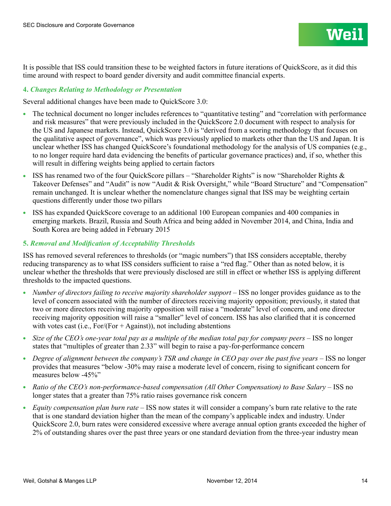It is possible that ISS could transition these to be weighted factors in future iterations of QuickScore, as it did this time around with respect to board gender diversity and audit committee financial experts.

## **4.** *Changes Relating to Methodology or Presentation*

Several additional changes have been made to QuickScore 3.0:

- The technical document no longer includes references to "quantitative testing" and "correlation with performance and risk measures" that were previously included in the QuickScore 2.0 document with respect to analysis for the US and Japanese markets. Instead, QuickScore 3.0 is "derived from a scoring methodology that focuses on the qualitative aspect of governance", which was previously applied to markets other than the US and Japan. It is unclear whether ISS has changed QuickScore's foundational methodology for the analysis of US companies (e.g., to no longer require hard data evidencing the benefits of particular governance practices) and, if so, whether this will result in differing weights being applied to certain factors
- ISS has renamed two of the four QuickScore pillars "Shareholder Rights" is now "Shareholder Rights & Takeover Defenses" and "Audit" is now "Audit & Risk Oversight," while "Board Structure" and "Compensation" remain unchanged. It is unclear whether the nomenclature changes signal that ISS may be weighting certain questions differently under those two pillars
- <sup>l</sup> ISS has expanded QuickScore coverage to an additional 100 European companies and 400 companies in emerging markets. Brazil, Russia and South Africa and being added in November 2014, and China, India and South Korea are being added in February 2015

## **5.** *Removal and Modification of Acceptability Thresholds*

ISS has removed several references to thresholds (or "magic numbers") that ISS considers acceptable, thereby reducing transparency as to what ISS considers sufficient to raise a "red flag." Other than as noted below, it is unclear whether the thresholds that were previously disclosed are still in effect or whether ISS is applying different thresholds to the impacted questions.

- <sup>l</sup> *Number of directors failing to receive majority shareholder support* ISS no longer provides guidance as to the level of concern associated with the number of directors receiving majority opposition; previously, it stated that two or more directors receiving majority opposition will raise a "moderate" level of concern, and one director receiving majority opposition will raise a "smaller" level of concern. ISS has also clarified that it is concerned with votes cast (i.e.,  $For/(For + Against)$ ), not including abstentions
- *Size of the CEO's one-year total pay as a multiple of the median total pay for company peers –* ISS no longer states that "multiples of greater than 2.33" will begin to raise a pay-for-performance concern
- Degree of alignment between the company's TSR and change in CEO pay over the past five years ISS no longer provides that measures "below -30% may raise a moderate level of concern, rising to significant concern for measures below -45%"
- <sup>l</sup> *Ratio of the CEO's non-performance-based compensation (All Other Compensation) to Base Salary* ISS no longer states that a greater than 75% ratio raises governance risk concern
- <sup>l</sup> *Equity compensation plan burn rate* ISS now states it will consider a company's burn rate relative to the rate that is one standard deviation higher than the mean of the company's applicable index and industry. Under QuickScore 2.0, burn rates were considered excessive where average annual option grants exceeded the higher of 2% of outstanding shares over the past three years or one standard deviation from the three-year industry mean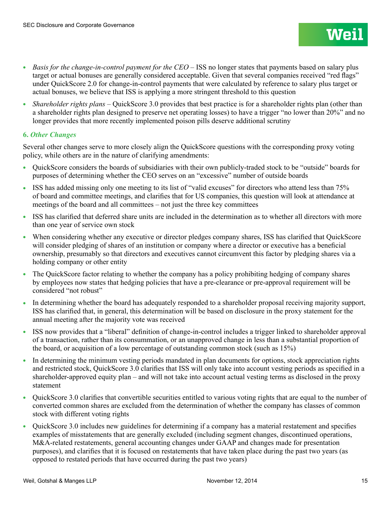- *Basis for the change-in-control payment for the CEO ISS no longer states that payments based on salary plus* target or actual bonuses are generally considered acceptable. Given that several companies received "red flags" under QuickScore 2.0 for change-in-control payments that were calculated by reference to salary plus target or actual bonuses, we believe that ISS is applying a more stringent threshold to this question
- *Shareholder rights plans* QuickScore 3.0 provides that best practice is for a shareholder rights plan (other than a shareholder rights plan designed to preserve net operating losses) to have a trigger "no lower than 20%" and no longer provides that more recently implemented poison pills deserve additional scrutiny

## **6.** *Other Changes*

Several other changes serve to more closely align the QuickScore questions with the corresponding proxy voting policy, while others are in the nature of clarifying amendments:

- <sup>l</sup> QuickScore considers the boards of subsidiaries with their own publicly-traded stock to be "outside" boards for purposes of determining whether the CEO serves on an "excessive" number of outside boards
- ISS has added missing only one meeting to its list of "valid excuses" for directors who attend less than 75% of board and committee meetings, and clarifies that for US companies, this question will look at attendance at meetings of the board and all committees – not just the three key committees
- ISS has clarified that deferred share units are included in the determination as to whether all directors with more than one year of service own stock
- <sup>l</sup> When considering whether any executive or director pledges company shares, ISS has clarified that QuickScore will consider pledging of shares of an institution or company where a director or executive has a beneficial ownership, presumably so that directors and executives cannot circumvent this factor by pledging shares via a holding company or other entity
- The QuickScore factor relating to whether the company has a policy prohibiting hedging of company shares by employees now states that hedging policies that have a pre-clearance or pre-approval requirement will be considered "not robust"
- In determining whether the board has adequately responded to a shareholder proposal receiving majority support, ISS has clarified that, in general, this determination will be based on disclosure in the proxy statement for the annual meeting after the majority vote was received
- <sup>l</sup> ISS now provides that a "liberal" definition of change-in-control includes a trigger linked to shareholder approval of a transaction, rather than its consummation, or an unapproved change in less than a substantial proportion of the board, or acquisition of a low percentage of outstanding common stock (such as 15%)
- In determining the minimum vesting periods mandated in plan documents for options, stock appreciation rights and restricted stock, QuickScore 3.0 clarifies that ISS will only take into account vesting periods as specified in a shareholder-approved equity plan – and will not take into account actual vesting terms as disclosed in the proxy statement
- QuickScore 3.0 clarifies that convertible securities entitled to various voting rights that are equal to the number of converted common shares are excluded from the determination of whether the company has classes of common stock with different voting rights
- OuickScore 3.0 includes new guidelines for determining if a company has a material restatement and specifies examples of misstatements that are generally excluded (including segment changes, discontinued operations, M&A-related restatements, general accounting changes under GAAP and changes made for presentation purposes), and clarifies that it is focused on restatements that have taken place during the past two years (as opposed to restated periods that have occurred during the past two years)

**Weil**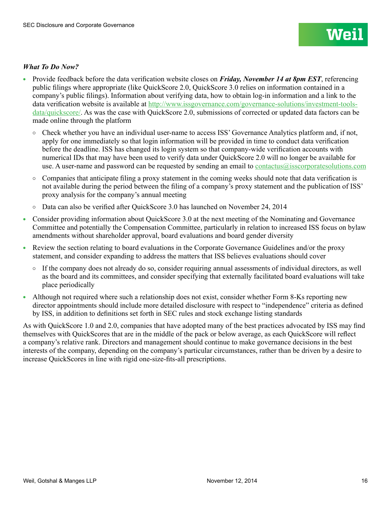## *What To Do Now?*

- <sup>l</sup> Provide feedback before the data verification website closes on *Friday, November 14 at 8pm EST*, referencing public filings where appropriate (like QuickScore 2.0, QuickScore 3.0 relies on information contained in a company's public filings). Information about verifying data, how to obtain log-in information and a link to the data verification website is available at [http://www.issgovernance.com/governance-solutions/investment-tools](http://www.issgovernance.com/governance-solutions/investment-tools-data/quickscore/)[data/quickscore/](http://www.issgovernance.com/governance-solutions/investment-tools-data/quickscore/). As was the case with QuickScore 2.0, submissions of corrected or updated data factors can be made online through the platform
	- $\circ$  Check whether you have an individual user-name to access ISS' Governance Analytics platform and, if not, apply for one immediately so that login information will be provided in time to conduct data verification before the deadline. ISS has changed its login system so that company-wide verification accounts with numerical IDs that may have been used to verify data under QuickScore 2.0 will no longer be available for use. A user-name and password can be requested by sending an email to [contactus@isscorporatesolutions.com](mailto:contactus%40isscorporatesolutions.com?subject=)
	- $\circ$  Companies that anticipate filing a proxy statement in the coming weeks should note that data verification is not available during the period between the filing of a company's proxy statement and the publication of ISS' proxy analysis for the company's annual meeting
	- $\circ$  Data can also be verified after QuickScore 3.0 has launched on November 24, 2014
- <sup>l</sup> Consider providing information about QuickScore 3.0 at the next meeting of the Nominating and Governance Committee and potentially the Compensation Committee, particularly in relation to increased ISS focus on bylaw amendments without shareholder approval, board evaluations and board gender diversity
- Exercise Review the section relating to board evaluations in the Corporate Governance Guidelines and/or the proxy statement, and consider expanding to address the matters that ISS believes evaluations should cover
	- $\circ$  If the company does not already do so, consider requiring annual assessments of individual directors, as well as the board and its committees, and consider specifying that externally facilitated board evaluations will take place periodically
- Although not required where such a relationship does not exist, consider whether Form 8-Ks reporting new director appointments should include more detailed disclosure with respect to "independence" criteria as defined by ISS, in addition to definitions set forth in SEC rules and stock exchange listing standards

As with QuickScore 1.0 and 2.0, companies that have adopted many of the best practices advocated by ISS may find themselves with QuickScores that are in the middle of the pack or below average, as each QuickScore will reflect a company's relative rank. Directors and management should continue to make governance decisions in the best interests of the company, depending on the company's particular circumstances, rather than be driven by a desire to increase QuickScores in line with rigid one-size-fits-all prescriptions.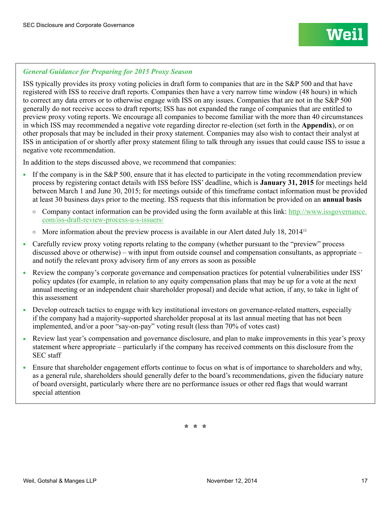## *General Guidance for Preparing for 2015 Proxy Season*

ISS typically provides its proxy voting policies in draft form to companies that are in the S&P 500 and that have registered with ISS to receive draft reports. Companies then have a very narrow time window (48 hours) in which to correct any data errors or to otherwise engage with ISS on any issues. Companies that are not in the S&P 500 generally do not receive access to draft reports; ISS has not expanded the range of companies that are entitled to preview proxy voting reports. We encourage all companies to become familiar with the more than 40 circumstances in which ISS may recommended a negative vote regarding director re-election (set forth in the **Appendix**), or on other proposals that may be included in their proxy statement. Companies may also wish to contact their analyst at ISS in anticipation of or shortly after proxy statement filing to talk through any issues that could cause ISS to issue a negative vote recommendation.

In addition to the steps discussed above, we recommend that companies:

- <sup>l</sup> If the company is in the S&P 500, ensure that it has elected to participate in the voting recommendation preview process by registering contact details with ISS before ISS' deadline, which is **January 31, 2015** for meetings held between March 1 and June 30, 2015; for meetings outside of this timeframe contact information must be provided at least 30 business days prior to the meeting. ISS requests that this information be provided on an **annual basis**
	- $\circ$  Company contact information can be provided using the form available at this link: [http://www.issgovernance.](http://www.issgovernance.com/iss-draft-review-process-u-s-issuers/) [com/iss-draft-review-process-u-s-issuers/](http://www.issgovernance.com/iss-draft-review-process-u-s-issuers/)
	- $\circ$  More information about the preview process is available in our Alert dated July 18, 2014<sup>11</sup>
- Carefully review proxy voting reports relating to the company (whether pursuant to the "preview" process discussed above or otherwise) – with input from outside counsel and compensation consultants, as appropriate – and notify the relevant proxy advisory firm of any errors as soon as possible
- Review the company's corporate governance and compensation practices for potential vulnerabilities under ISS' policy updates (for example, in relation to any equity compensation plans that may be up for a vote at the next annual meeting or an independent chair shareholder proposal) and decide what action, if any, to take in light of this assessment
- Develop outreach tactics to engage with key institutional investors on governance-related matters, especially if the company had a majority-supported shareholder proposal at its last annual meeting that has not been implemented, and/or a poor "say-on-pay" voting result (less than 70% of votes cast)
- <sup>l</sup> Review last year's compensation and governance disclosure, and plan to make improvements in this year's proxy statement where appropriate – particularly if the company has received comments on this disclosure from the SEC staff
- <sup>l</sup> Ensure that shareholder engagement efforts continue to focus on what is of importance to shareholders and why, as a general rule, shareholders should generally defer to the board's recommendations, given the fiduciary nature of board oversight, particularly where there are no performance issues or other red flags that would warrant special attention

**\* \* \***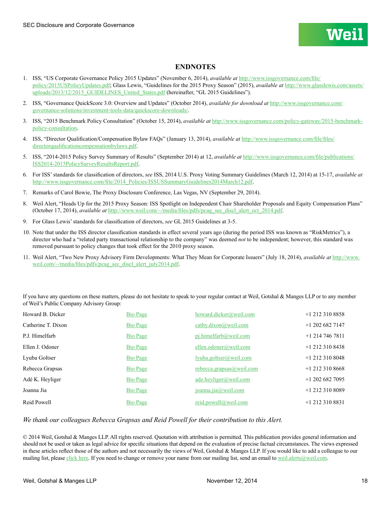#### **ENDNOTES**

- 1. ISS, "US Corporate Governance Policy 2015 Updates" (November 6, 2014), *available at* [http://www.issgovernance.com/file/](http://www.issgovernance.com/file/policy/2015USPolicyUpdates.pdf) [policy/2015USPolicyUpdates.pdf](http://www.issgovernance.com/file/policy/2015USPolicyUpdates.pdf); Glass Lewis, "Guidelines for the 2015 Proxy Season" (2015), *available at* [http://www.glasslewis.com/assets/](http://www.glasslewis.com/assets/uploads/2013/12/2015_GUIDELINES_United_States.pdf) [uploads/2013/12/2015\\_GUIDELINES\\_United\\_States.pdf](http://www.glasslewis.com/assets/uploads/2013/12/2015_GUIDELINES_United_States.pdf) (hereinafter, "GL 2015 Guidelines").
- 2. ISS, "Governance QuickScore 3.0: Overview and Updates" (October 2014), *available for download at* [http://www.issgovernance.com/](http://www.issgovernance.com/governance-solutions/investment-tools-data/quickscore-downloads/) [governance-solutions/investment-tools-data/quickscore-downloads/](http://www.issgovernance.com/governance-solutions/investment-tools-data/quickscore-downloads/).
- 3. ISS, "2015 Benchmark Policy Consultation" (October 15, 2014), *available at* [http://www.issgovernance.com/policy-gateway/2015-benchmark](http://www.issgovernance.com/policy-gateway/2015-benchmark-policy-consultation)[policy-consultation](http://www.issgovernance.com/policy-gateway/2015-benchmark-policy-consultation).
- 4. ISS, "Director Qualification/Compensation Bylaw FAQs" (January 13, 2014), *available at* [http://www.issgovernance.com/file/files/](http://www.issgovernance.com/file/files/directorqualificationcompensationbylaws.pdf) [directorqualificationcompensationbylaws.pdf](http://www.issgovernance.com/file/files/directorqualificationcompensationbylaws.pdf).
- 5. ISS, "2014-2015 Policy Survey Summary of Results" (September 2014) at 12, *available at* [http://www.issgovernance.com/file/publications/](http://www.issgovernance.com/file/publications/ISS2014-2015PolicySurveyResultsReport.pdf) [ISS2014-2015PolicySurveyResultsReport.pdf.](http://www.issgovernance.com/file/publications/ISS2014-2015PolicySurveyResultsReport.pdf)
- 6. For ISS' standards for classification of directors, *see* ISS, 2014 U.S. Proxy Voting Summary Guidelines (March 12, 2014) at 15-17, *available at* [http://www.issgovernance.com/file/2014\\_Policies/ISSUSSummaryGuidelines2014March12.pdf](http://www.issgovernance.com/file/2014_Policies/ISSUSSummaryGuidelines2014March12.pdf).
- 7. Remarks of Carol Bowie, The Proxy Disclosure Conference, Las Vegas, NV (September 29, 2014).
- 8. Weil Alert, "Heads Up for the 2015 Proxy Season: ISS Spotlight on Independent Chair Shareholder Proposals and Equity Compensation Plans" (October 17, 2014), *available at* [http://www.weil.com/~/media/files/pdfs/pcag\\_sec\\_discl\\_alert\\_oct\\_2014.pdf](http://www.weil.com/~/media/files/pdfs/pcag_sec_discl_alert_oct_2014.pdf).
- 9. For Glass Lewis' standards for classification of directors, *see* GL 2015 Guidelines at 3-5.
- 10. Note that under the ISS director classification standards in effect several years ago (during the period ISS was known as "RiskMetrics"), a director who had a "related party transactional relationship to the company" was deemed *not* to be independent; however, this standard was removed pursuant to policy changes that took effect for the 2010 proxy season.
- 11. Weil Alert, "Two New Proxy Advisory Firm Developments: What They Mean for Corporate Issuers" (July 18, 2014), *available at* [http://www.](http://www.weil.com/~/media/files/pdfs/pcag_sec_discl_alert_july2014.pdf) [weil.com/~/media/files/pdfs/pcag\\_sec\\_discl\\_alert\\_july2014.pdf](http://www.weil.com/~/media/files/pdfs/pcag_sec_discl_alert_july2014.pdf).

If you have any questions on these matters, please do not hesitate to speak to your regular contact at Weil, Gotshal & Manges LLP or to any member of Weil's Public Company Advisory Group:

| Howard B. Dicker   | Bio Page        | howard.dicker@weil.com   | $+1$ 212 310 8858 |
|--------------------|-----------------|--------------------------|-------------------|
| Catherine T. Dixon | <b>Bio Page</b> | cathy.dixon@weil.com     | $+1$ 202 682 7147 |
| P.J. Himelfarb     | <b>Bio Page</b> | $pi$ .himelfarb@weil.com | $+1$ 214 746 7811 |
| Ellen J. Odoner    | Bio Page        | ellen.odoner@weil.com    | $+1$ 212 310 8438 |
| Lyuba Goltser      | Bio Page        | lyuba.goltser@weil.com   | $+1$ 212 310 8048 |
| Rebecca Grapsas    | <b>Bio Page</b> | rebecca.grapsas@weil.com | $+1$ 212 310 8668 |
| Adé K. Heyliger    | Bio Page        | ade.heyliger@weil.com    | $+1$ 202 682 7095 |
| Joanna Jia         | <b>Bio Page</b> | joanna.jia@weil.com      | $+1$ 212 310 8089 |
| Reid Powell        | <b>Bio Page</b> | reid.powell@weil.com     | $+1$ 212 310 8831 |

#### *We thank our colleagues Rebecca Grapsas and Reid Powell for their contribution to this Alert.*

© 2014 Weil, Gotshal & Manges LLP. All rights reserved. Quotation with attribution is permitted. This publication provides general information and should not be used or taken as legal advice for specific situations that depend on the evaluation of precise factual circumstances. The views expressed in these articles reflect those of the authors and not necessarily the views of Weil, Gotshal & Manges LLP. If you would like to add a colleague to our mailing list, please [click here](https://interact.weil.com/reaction/RSGenPage.asp?RSID=8C8408E4C1EC1D85C2291B25C4111DB9A3432810B098665FD786811). If you need to change or remove your name from our mailing list, send an email to [weil.alerts@weil.com](mailto:weil.alerts%40weil.com?subject=).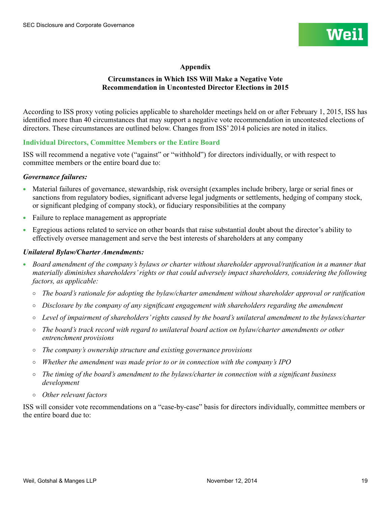

## **Appendix**

## **Circumstances in Which ISS Will Make a Negative Vote Recommendation in Uncontested Director Elections in 2015**

According to ISS proxy voting policies applicable to shareholder meetings held on or after February 1, 2015, ISS has identified more than 40 circumstances that may support a negative vote recommendation in uncontested elections of directors. These circumstances are outlined below. Changes from ISS' 2014 policies are noted in italics.

## **Individual Directors, Committee Members or the Entire Board**

ISS will recommend a negative vote ("against" or "withhold") for directors individually, or with respect to committee members or the entire board due to:

#### *Governance failures:*

- Material failures of governance, stewardship, risk oversight (examples include bribery, large or serial fines or sanctions from regulatory bodies, significant adverse legal judgments or settlements, hedging of company stock, or significant pledging of company stock), or fiduciary responsibilities at the company
- Failure to replace management as appropriate
- <sup>l</sup> Egregious actions related to service on other boards that raise substantial doubt about the director's ability to effectively oversee management and serve the best interests of shareholders at any company

#### *Unilateral Bylaw/Charter Amendments:*

- <sup>l</sup> *Board amendment of the company's bylaws or charter without shareholder approval/ratification in a manner that materially diminishes shareholders' rights or that could adversely impact shareholders, considering the following factors, as applicable:*
	- ¡ *The board's rationale for adopting the bylaw/charter amendment without shareholder approval or ratification*
	- ¡ *Disclosure by the company of any significant engagement with shareholders regarding the amendment*
	- ¡ *Level of impairment of shareholders' rights caused by the board's unilateral amendment to the bylaws/charter*
	- ¡ *The board's track record with regard to unilateral board action on bylaw/charter amendments or other entrenchment provisions*
	- ¡ *The company's ownership structure and existing governance provisions*
	- ¡ *Whether the amendment was made prior to or in connection with the company's IPO*
	- ¡ *The timing of the board's amendment to the bylaws/charter in connection with a significant business development*
	- ¡ *Other relevant factors*

ISS will consider vote recommendations on a "case-by-case" basis for directors individually, committee members or the entire board due to: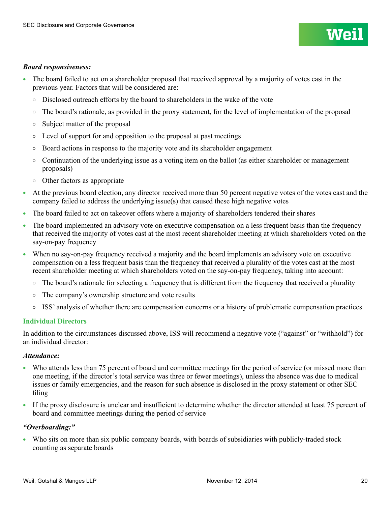#### *Board responsiveness:*

- <sup>l</sup> The board failed to act on a shareholder proposal that received approval by a majority of votes cast in the previous year. Factors that will be considered are:
	- $\circ$  Disclosed outreach efforts by the board to shareholders in the wake of the vote
	- The board's rationale, as provided in the proxy statement, for the level of implementation of the proposal
	- Subject matter of the proposal
	- $\circ$  Level of support for and opposition to the proposal at past meetings
	- $\circ$  Board actions in response to the majority vote and its shareholder engagement
	- $\circ$  Continuation of the underlying issue as a voting item on the ballot (as either shareholder or management proposals)
	- Other factors as appropriate
- <sup>l</sup> At the previous board election, any director received more than 50 percent negative votes of the votes cast and the company failed to address the underlying issue(s) that caused these high negative votes
- <sup>l</sup> The board failed to act on takeover offers where a majority of shareholders tendered their shares
- <sup>l</sup> The board implemented an advisory vote on executive compensation on a less frequent basis than the frequency that received the majority of votes cast at the most recent shareholder meeting at which shareholders voted on the say-on-pay frequency
- When no say-on-pay frequency received a majority and the board implements an advisory vote on executive compensation on a less frequent basis than the frequency that received a plurality of the votes cast at the most recent shareholder meeting at which shareholders voted on the say-on-pay frequency, taking into account:
	- $\circ$  The board's rationale for selecting a frequency that is different from the frequency that received a plurality
	- $\circ$  The company's ownership structure and vote results
	- ISS' analysis of whether there are compensation concerns or a history of problematic compensation practices

#### **Individual Directors**

In addition to the circumstances discussed above, ISS will recommend a negative vote ("against" or "withhold") for an individual director:

#### *Attendance:*

- Who attends less than 75 percent of board and committee meetings for the period of service (or missed more than one meeting, if the director's total service was three or fewer meetings), unless the absence was due to medical issues or family emergencies, and the reason for such absence is disclosed in the proxy statement or other SEC filing
- If the proxy disclosure is unclear and insufficient to determine whether the director attended at least 75 percent of board and committee meetings during the period of service

#### *"Overboarding:"*

• Who sits on more than six public company boards, with boards of subsidiaries with publicly-traded stock counting as separate boards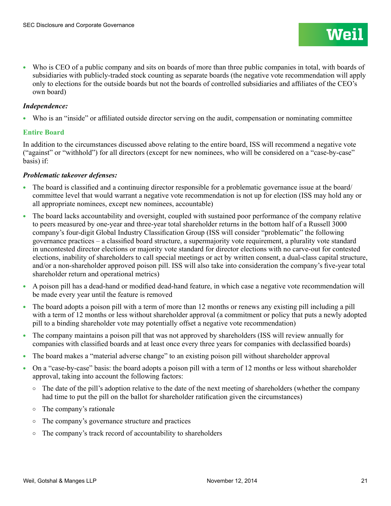Who is CEO of a public company and sits on boards of more than three public companies in total, with boards of subsidiaries with publicly-traded stock counting as separate boards (the negative vote recommendation will apply only to elections for the outside boards but not the boards of controlled subsidiaries and affiliates of the CEO's own board)

## *Independence:*

<sup>l</sup> Who is an "inside" or affiliated outside director serving on the audit, compensation or nominating committee

## **Entire Board**

In addition to the circumstances discussed above relating to the entire board, ISS will recommend a negative vote ("against" or "withhold") for all directors (except for new nominees, who will be considered on a "case-by-case" basis) if:

#### *Problematic takeover defenses:*

- <sup>l</sup> The board is classified and a continuing director responsible for a problematic governance issue at the board/ committee level that would warrant a negative vote recommendation is not up for election (ISS may hold any or all appropriate nominees, except new nominees, accountable)
- The board lacks accountability and oversight, coupled with sustained poor performance of the company relative to peers measured by one-year and three-year total shareholder returns in the bottom half of a Russell 3000 company's four-digit Global Industry Classification Group (ISS will consider "problematic" the following governance practices – a classified board structure, a supermajority vote requirement, a plurality vote standard in uncontested director elections or majority vote standard for director elections with no carve-out for contested elections, inability of shareholders to call special meetings or act by written consent, a dual-class capital structure, and/or a non-shareholder approved poison pill. ISS will also take into consideration the company's five-year total shareholder return and operational metrics)
- A poison pill has a dead-hand or modified dead-hand feature, in which case a negative vote recommendation will be made every year until the feature is removed
- $\bullet$  The board adopts a poison pill with a term of more than 12 months or renews any existing pill including a pill with a term of 12 months or less without shareholder approval (a commitment or policy that puts a newly adopted pill to a binding shareholder vote may potentially offset a negative vote recommendation)
- <sup>l</sup> The company maintains a poison pill that was not approved by shareholders (ISS will review annually for companies with classified boards and at least once every three years for companies with declassified boards)
- <sup>l</sup> The board makes a "material adverse change" to an existing poison pill without shareholder approval
- On a "case-by-case" basis: the board adopts a poison pill with a term of 12 months or less without shareholder approval, taking into account the following factors:
	- The date of the pill's adoption relative to the date of the next meeting of shareholders (whether the company had time to put the pill on the ballot for shareholder ratification given the circumstances)
	- $\circ$  The company's rationale
	- The company's governance structure and practices
	- $\circ$  The company's track record of accountability to shareholders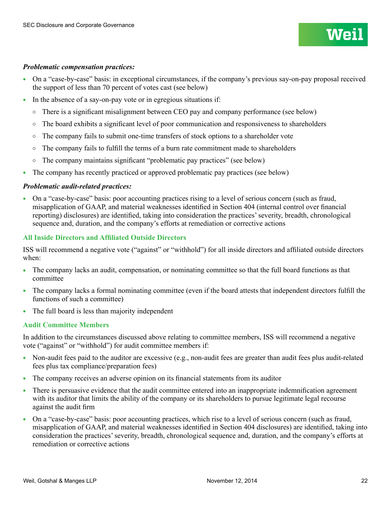## *Problematic compensation practices:*

- On a "case-by-case" basis: in exceptional circumstances, if the company's previous say-on-pay proposal received the support of less than 70 percent of votes cast (see below)
- In the absence of a say-on-pay vote or in egregious situations if:
	- There is a significant misalignment between CEO pay and company performance (see below)
	- $\circ$  The board exhibits a significant level of poor communication and responsiveness to shareholders
	- $\circ$  The company fails to submit one-time transfers of stock options to a shareholder vote
	- The company fails to fulfill the terms of a burn rate commitment made to shareholders
	- $\circ$  The company maintains significant "problematic pay practices" (see below)
- The company has recently practiced or approved problematic pay practices (see below)

## *Problematic audit-related practices:*

• On a "case-by-case" basis: poor accounting practices rising to a level of serious concern (such as fraud, misapplication of GAAP, and material weaknesses identified in Section 404 (internal control over financial reporting) disclosures) are identified, taking into consideration the practices' severity, breadth, chronological sequence and, duration, and the company's efforts at remediation or corrective actions

## **All Inside Directors and Affiliated Outside Directors**

ISS will recommend a negative vote ("against" or "withhold") for all inside directors and affiliated outside directors when:

- The company lacks an audit, compensation, or nominating committee so that the full board functions as that committee
- The company lacks a formal nominating committee (even if the board attests that independent directors fulfill the functions of such a committee)
- $\bullet$  The full board is less than majority independent

## **Audit Committee Members**

In addition to the circumstances discussed above relating to committee members, ISS will recommend a negative vote ("against" or "withhold") for audit committee members if:

- Non-audit fees paid to the auditor are excessive (e.g., non-audit fees are greater than audit fees plus audit-related fees plus tax compliance/preparation fees)
- <sup>l</sup> The company receives an adverse opinion on its financial statements from its auditor
- <sup>l</sup> There is persuasive evidence that the audit committee entered into an inappropriate indemnification agreement with its auditor that limits the ability of the company or its shareholders to pursue legitimate legal recourse against the audit firm
- On a "case-by-case" basis: poor accounting practices, which rise to a level of serious concern (such as fraud, misapplication of GAAP, and material weaknesses identified in Section 404 disclosures) are identified, taking into consideration the practices' severity, breadth, chronological sequence and, duration, and the company's efforts at remediation or corrective actions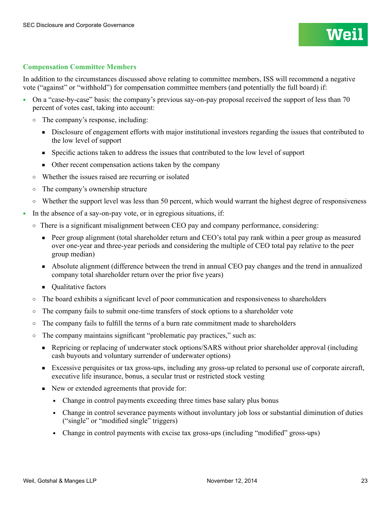## **Compensation Committee Members**

In addition to the circumstances discussed above relating to committee members, ISS will recommend a negative vote ("against" or "withhold") for compensation committee members (and potentially the full board) if:

- On a "case-by-case" basis: the company's previous say-on-pay proposal received the support of less than 70 percent of votes cast, taking into account:
	- The company's response, including:
		- Disclosure of engagement efforts with major institutional investors regarding the issues that contributed to the low level of support
		- Specific actions taken to address the issues that contributed to the low level of support
		- Other recent compensation actions taken by the company
	- Whether the issues raised are recurring or isolated
	- The company's ownership structure
	- $\circ$  Whether the support level was less than 50 percent, which would warrant the highest degree of responsiveness
- In the absence of a say-on-pay vote, or in egregious situations, if:
	- $\circ$  There is a significant misalignment between CEO pay and company performance, considering:
		- Peer group alignment (total shareholder return and CEO's total pay rank within a peer group as measured over one-year and three-year periods and considering the multiple of CEO total pay relative to the peer group median)
		- Absolute alignment (difference between the trend in annual CEO pay changes and the trend in annualized company total shareholder return over the prior five years)
		- Qualitative factors
	- $\circ$  The board exhibits a significant level of poor communication and responsiveness to shareholders
	- $\circ$  The company fails to submit one-time transfers of stock options to a shareholder vote
	- $\circ$  The company fails to fulfill the terms of a burn rate commitment made to shareholders
	- $\circ$  The company maintains significant "problematic pay practices," such as:
		- Repricing or replacing of underwater stock options/SARS without prior shareholder approval (including cash buyouts and voluntary surrender of underwater options)
		- Excessive perquisites or tax gross-ups, including any gross-up related to personal use of corporate aircraft, executive life insurance, bonus, a secular trust or restricted stock vesting
		- New or extended agreements that provide for:
			- Change in control payments exceeding three times base salary plus bonus
			- Change in control severance payments without involuntary job loss or substantial diminution of duties ("single" or "modified single" triggers)
			- Change in control payments with excise tax gross-ups (including "modified" gross-ups)